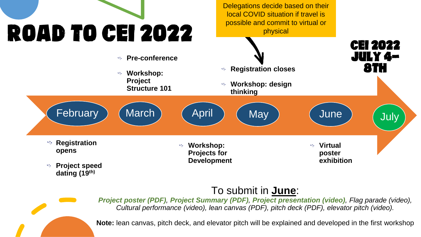

Delegations decide based on their local COVID situation if travel is possible and commit to virtual or physical



#### To submit in **June**:



**Note:** lean canvas, pitch deck, and elevator pitch will be explained and developed in the first workshop